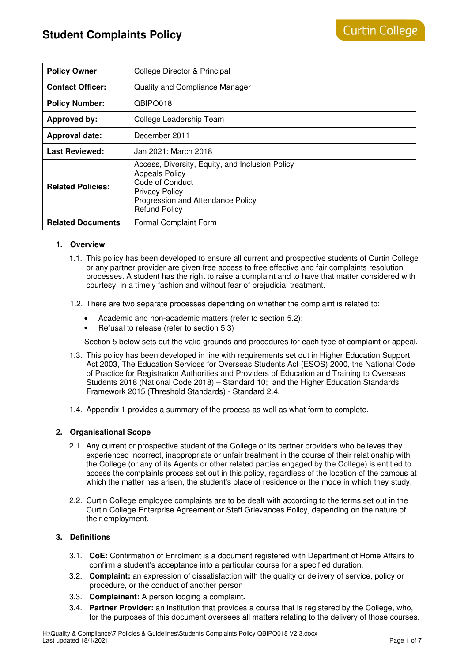| <b>Policy Owner</b>      | College Director & Principal                                                                                                                                                      |  |  |
|--------------------------|-----------------------------------------------------------------------------------------------------------------------------------------------------------------------------------|--|--|
| <b>Contact Officer:</b>  | <b>Quality and Compliance Manager</b>                                                                                                                                             |  |  |
| <b>Policy Number:</b>    | QBIPO018                                                                                                                                                                          |  |  |
| <b>Approved by:</b>      | College Leadership Team                                                                                                                                                           |  |  |
| <b>Approval date:</b>    | December 2011                                                                                                                                                                     |  |  |
| <b>Last Reviewed:</b>    | Jan 2021: March 2018                                                                                                                                                              |  |  |
| <b>Related Policies:</b> | Access, Diversity, Equity, and Inclusion Policy<br><b>Appeals Policy</b><br>Code of Conduct<br><b>Privacy Policy</b><br>Progression and Attendance Policy<br><b>Refund Policy</b> |  |  |
| <b>Related Documents</b> | Formal Complaint Form                                                                                                                                                             |  |  |

# **1. Overview**

- 1.1. This policy has been developed to ensure all current and prospective students of Curtin College or any partner provider are given free access to free effective and fair complaints resolution processes. A student has the right to raise a complaint and to have that matter considered with courtesy, in a timely fashion and without fear of prejudicial treatment.
- 1.2. There are two separate processes depending on whether the complaint is related to:
	- Academic and non-academic matters (refer to section 5.2);
	- Refusal to release (refer to section 5.3)

Section 5 below sets out the valid grounds and procedures for each type of complaint or appeal.

- 1.3. This policy has been developed in line with requirements set out in Higher Education Support Act 2003, The Education Services for Overseas Students Act (ESOS) 2000, the National Code of Practice for Registration Authorities and Providers of Education and Training to Overseas Students 2018 (National Code 2018) – Standard 10; and the Higher Education Standards Framework 2015 (Threshold Standards) - Standard 2.4.
- 1.4. Appendix 1 provides a summary of the process as well as what form to complete.

# **2. Organisational Scope**

- 2.1. Any current or prospective student of the College or its partner providers who believes they experienced incorrect, inappropriate or unfair treatment in the course of their relationship with the College (or any of its Agents or other related parties engaged by the College) is entitled to access the complaints process set out in this policy, regardless of the location of the campus at which the matter has arisen, the student's place of residence or the mode in which they study.
- 2.2. Curtin College employee complaints are to be dealt with according to the terms set out in the Curtin College Enterprise Agreement or Staff Grievances Policy, depending on the nature of their employment.

# **3. Definitions**

- 3.1. **CoE:** Confirmation of Enrolment is a document registered with Department of Home Affairs to confirm a student's acceptance into a particular course for a specified duration.
- 3.2. **Complaint:** an expression of dissatisfaction with the quality or delivery of service, policy or procedure, or the conduct of another person
- 3.3. **Complainant:** A person lodging a complaint**.**
- 3.4. **Partner Provider:** an institution that provides a course that is registered by the College, who, for the purposes of this document oversees all matters relating to the delivery of those courses.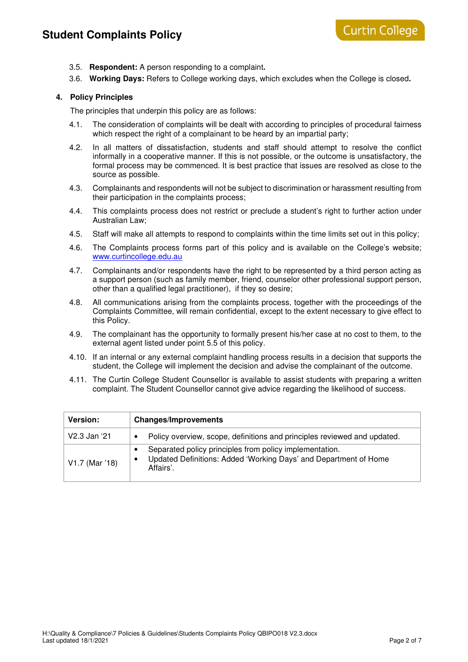# **Student Complaints Policy**

- 3.5. **Respondent:** A person responding to a complaint**.**
- 3.6. **Working Days:** Refers to College working days, which excludes when the College is closed**.**

### **4. Policy Principles**

The principles that underpin this policy are as follows:

- 4.1. The consideration of complaints will be dealt with according to principles of procedural fairness which respect the right of a complainant to be heard by an impartial party;
- 4.2. In all matters of dissatisfaction, students and staff should attempt to resolve the conflict informally in a cooperative manner. If this is not possible, or the outcome is unsatisfactory, the formal process may be commenced. It is best practice that issues are resolved as close to the source as possible.
- 4.3. Complainants and respondents will not be subject to discrimination or harassment resulting from their participation in the complaints process;
- 4.4. This complaints process does not restrict or preclude a student's right to further action under Australian Law;
- 4.5. Staff will make all attempts to respond to complaints within the time limits set out in this policy;
- 4.6. The Complaints process forms part of this policy and is available on the College's website; www.curtincollege.edu.au
- 4.7. Complainants and/or respondents have the right to be represented by a third person acting as a support person (such as family member, friend, counselor other professional support person, other than a qualified legal practitioner), if they so desire;
- 4.8. All communications arising from the complaints process, together with the proceedings of the Complaints Committee, will remain confidential, except to the extent necessary to give effect to this Policy.
- 4.9. The complainant has the opportunity to formally present his/her case at no cost to them, to the external agent listed under point 5.5 of this policy.
- 4.10. If an internal or any external complaint handling process results in a decision that supports the student, the College will implement the decision and advise the complainant of the outcome.
- 4.11. The Curtin College Student Counsellor is available to assist students with preparing a written complaint. The Student Counsellor cannot give advice regarding the likelihood of success.

| <b>Version:</b> | <b>Changes/Improvements</b>                                                                                                              |
|-----------------|------------------------------------------------------------------------------------------------------------------------------------------|
| V2.3 Jan '21    | Policy overview, scope, definitions and principles reviewed and updated.                                                                 |
| V1.7 (Mar '18)  | Separated policy principles from policy implementation.<br>Updated Definitions: Added 'Working Days' and Department of Home<br>Affairs'. |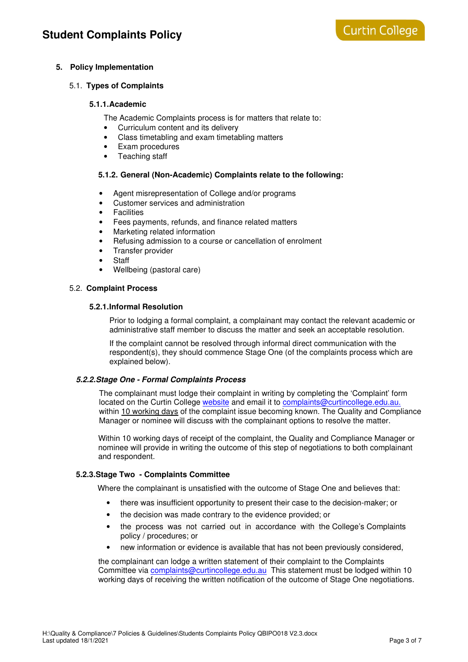# **5. Policy Implementation**

# 5.1. **Types of Complaints**

# **5.1.1. Academic**

The Academic Complaints process is for matters that relate to:

- Curriculum content and its delivery
- Class timetabling and exam timetabling matters
- Exam procedures
- Teaching staff

# **5.1.2. General (Non-Academic) Complaints relate to the following:**

- Agent misrepresentation of College and/or programs
- Customer services and administration
- Facilities
- Fees payments, refunds, and finance related matters
- Marketing related information
- Refusing admission to a course or cancellation of enrolment
- Transfer provider
- **Staff**
- Wellbeing (pastoral care)

# 5.2. **Complaint Process**

# **5.2.1. Informal Resolution**

Prior to lodging a formal complaint, a complainant may contact the relevant academic or administrative staff member to discuss the matter and seek an acceptable resolution.

If the complaint cannot be resolved through informal direct communication with the respondent(s), they should commence Stage One (of the complaints process which are explained below).

# **5.2.2. Stage One - Formal Complaints Process**

The complainant must lodge their complaint in writing by completing the 'Complaint' form located on the Curtin College website and email it to complaints@curtincollege.edu.au. within 10 working days of the complaint issue becoming known. The Quality and Compliance Manager or nominee will discuss with the complainant options to resolve the matter.

Within 10 working days of receipt of the complaint, the Quality and Compliance Manager or nominee will provide in writing the outcome of this step of negotiations to both complainant and respondent.

# **5.2.3. Stage Two - Complaints Committee**

Where the complainant is unsatisfied with the outcome of Stage One and believes that:

- there was insufficient opportunity to present their case to the decision-maker; or
- the decision was made contrary to the evidence provided; or
- the process was not carried out in accordance with the College's Complaints policy / procedures; or
- new information or evidence is available that has not been previously considered,

the complainant can lodge a written statement of their complaint to the Complaints Committee via complaints@curtincollege.edu.au This statement must be lodged within 10 working days of receiving the written notification of the outcome of Stage One negotiations.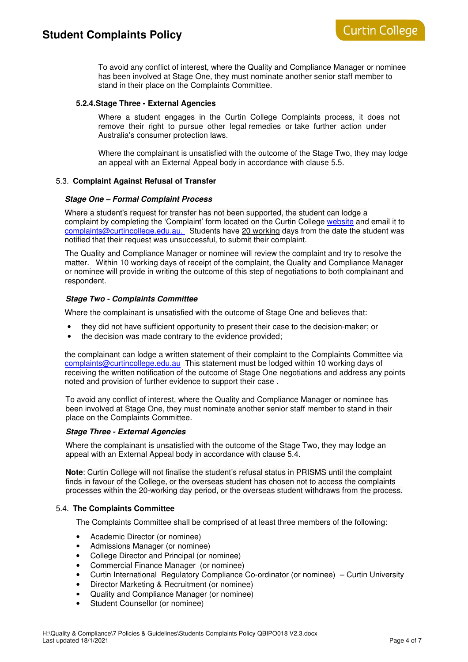To avoid any conflict of interest, where the Quality and Compliance Manager or nominee has been involved at Stage One, they must nominate another senior staff member to stand in their place on the Complaints Committee.

#### **5.2.4. Stage Three - External Agencies**

Where a student engages in the Curtin College Complaints process, it does not remove their right to pursue other legal remedies or take further action under Australia's consumer protection laws.

Where the complainant is unsatisfied with the outcome of the Stage Two, they may lodge an appeal with an External Appeal body in accordance with clause 5.5.

#### 5.3. **Complaint Against Refusal of Transfer**

#### **Stage One – Formal Complaint Process**

Where a student's request for transfer has not been supported, the student can lodge a complaint by completing the 'Complaint' form located on the Curtin College website and email it to complaints@curtincollege.edu.au. Students have 20 working days from the date the student was notified that their request was unsuccessful, to submit their complaint.

 The Quality and Compliance Manager or nominee will review the complaint and try to resolve the matter. Within 10 working days of receipt of the complaint, the Quality and Compliance Manager or nominee will provide in writing the outcome of this step of negotiations to both complainant and respondent.

#### **Stage Two - Complaints Committee**

Where the complainant is unsatisfied with the outcome of Stage One and believes that:

- they did not have sufficient opportunity to present their case to the decision-maker; or
- the decision was made contrary to the evidence provided;

the complainant can lodge a written statement of their complaint to the Complaints Committee via complaints@curtincollege.edu.au This statement must be lodged within 10 working days of receiving the written notification of the outcome of Stage One negotiations and address any points noted and provision of further evidence to support their case .

 To avoid any conflict of interest, where the Quality and Compliance Manager or nominee has been involved at Stage One, they must nominate another senior staff member to stand in their place on the Complaints Committee.

#### **Stage Three - External Agencies**

Where the complainant is unsatisfied with the outcome of the Stage Two, they may lodge an appeal with an External Appeal body in accordance with clause 5.4.

**Note**: Curtin College will not finalise the student's refusal status in PRISMS until the complaint finds in favour of the College, or the overseas student has chosen not to access the complaints processes within the 20-working day period, or the overseas student withdraws from the process.

#### 5.4. **The Complaints Committee**

The Complaints Committee shall be comprised of at least three members of the following:

- Academic Director (or nominee)
- Admissions Manager (or nominee)
- College Director and Principal (or nominee)
- Commercial Finance Manager (or nominee)
- Curtin International Regulatory Compliance Co-ordinator (or nominee) Curtin University
- Director Marketing & Recruitment (or nominee)
- Quality and Compliance Manager (or nominee)
- Student Counsellor (or nominee)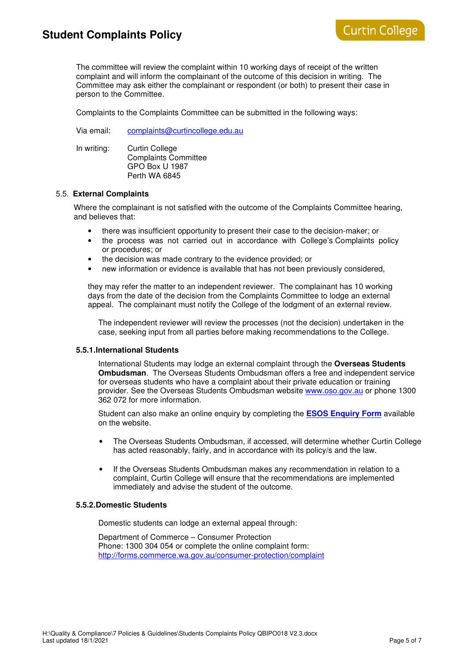# **Student Complaints Policy**

The committee will review the complaint within 10 working days of receipt of the written complaint and will inform the complainant of the outcome of this decision in writing. The Committee may ask either the complainant or respondent (or both) to present their case in person to the Committee.

Complaints to the Complaints Committee can be submitted in the following ways:

Via email: complaints@curtincollege.edu.au

In writing: Curtin College Complaints Committee GPO Box U 1987 Perth WA 6845

#### 5.5. **External Complaints**

Where the complainant is not satisfied with the outcome of the Complaints Committee hearing, and believes that:

- there was insufficient opportunity to present their case to the decision-maker; or
- the process was not carried out in accordance with College's Complaints policy or procedures; or
- the decision was made contrary to the evidence provided; or
- new information or evidence is available that has not been previously considered,

they may refer the matter to an independent reviewer. The complainant has 10 working days from the date of the decision from the Complaints Committee to lodge an external appeal. The complainant must notify the College of the lodgment of an external review.

The independent reviewer will review the processes (not the decision) undertaken in the case, seeking input from all parties before making recommendations to the College.

#### **5.5.1. International Students**

International Students may lodge an external complaint through the **Overseas Students Ombudsman**. The Overseas Students Ombudsman offers a free and independent service for overseas students who have a complaint about their private education or training provider. See the Overseas Students Ombudsman website www.oso.gov.au or phone 1300 362 072 for more information.

Student can also make an online enquiry by completing the **ESOS Enquiry Form** available on the website.

- The Overseas Students Ombudsman, if accessed, will determine whether Curtin College has acted reasonably, fairly, and in accordance with its policy/s and the law.
- If the Overseas Students Ombudsman makes any recommendation in relation to a complaint, Curtin College will ensure that the recommendations are implemented immediately and advise the student of the outcome.

#### **5.5.2. Domestic Students**

Domestic students can lodge an external appeal through:

Department of Commerce – Consumer Protection Phone: 1300 304 054 or complete the online complaint form: http://forms.commerce.wa.gov.au/consumer-protection/complaint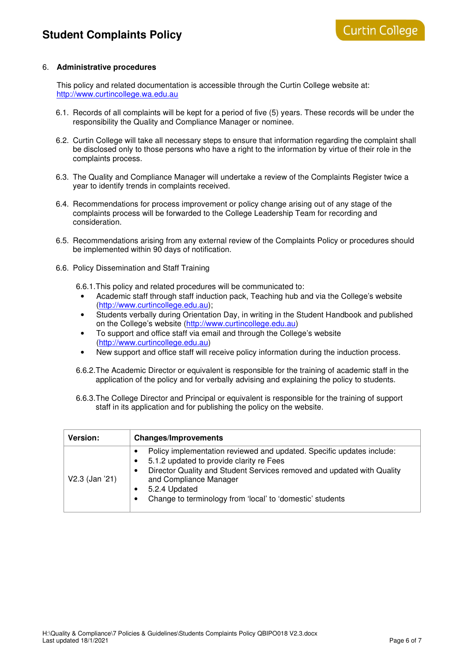#### 6. **Administrative procedures**

This policy and related documentation is accessible through the Curtin College website at: http://www.curtincollege.wa.edu.au

- 6.1. Records of all complaints will be kept for a period of five (5) years. These records will be under the responsibility the Quality and Compliance Manager or nominee.
- 6.2. Curtin College will take all necessary steps to ensure that information regarding the complaint shall be disclosed only to those persons who have a right to the information by virtue of their role in the complaints process.
- 6.3. The Quality and Compliance Manager will undertake a review of the Complaints Register twice a year to identify trends in complaints received.
- 6.4. Recommendations for process improvement or policy change arising out of any stage of the complaints process will be forwarded to the College Leadership Team for recording and consideration.
- 6.5. Recommendations arising from any external review of the Complaints Policy or procedures should be implemented within 90 days of notification.
- 6.6. Policy Dissemination and Staff Training

6.6.1. This policy and related procedures will be communicated to:

- Academic staff through staff induction pack, Teaching hub and via the College's website (http://www.curtincollege.edu.au);
- Students verbally during Orientation Day, in writing in the Student Handbook and published on the College's website (http://www.curtincollege.edu.au)
- To support and office staff via email and through the College's website (http://www.curtincollege.edu.au)
- New support and office staff will receive policy information during the induction process.
- 6.6.2. The Academic Director or equivalent is responsible for the training of academic staff in the application of the policy and for verbally advising and explaining the policy to students.
- 6.6.3. The College Director and Principal or equivalent is responsible for the training of support staff in its application and for publishing the policy on the website.

| <b>Version:</b> | <b>Changes/Improvements</b>                                                                                                                                                                                                                                                                         |
|-----------------|-----------------------------------------------------------------------------------------------------------------------------------------------------------------------------------------------------------------------------------------------------------------------------------------------------|
| V2.3 (Jan '21)  | Policy implementation reviewed and updated. Specific updates include:<br>5.1.2 updated to provide clarity re Fees<br>Director Quality and Student Services removed and updated with Quality<br>and Compliance Manager<br>5.2.4 Updated<br>Change to terminology from 'local' to 'domestic' students |